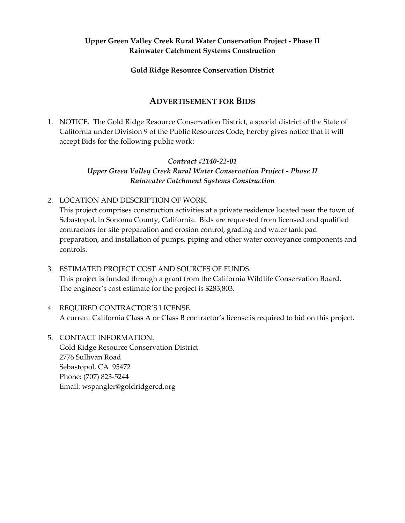# **Upper Green Valley Creek Rural Water Conservation Project - Phase II Rainwater Catchment Systems Construction**

#### **Gold Ridge Resource Conservation District**

# **ADVERTISEMENT FOR BIDS**

1. NOTICE. The Gold Ridge Resource Conservation District, a special district of the State of California under Division 9 of the Public Resources Code, hereby gives notice that it will accept Bids for the following public work:

#### *Contract #2140-22-01*

*Upper Green Valley Creek Rural Water Conservation Project - Phase II Rainwater Catchment Systems Construction*

2. LOCATION AND DESCRIPTION OF WORK.

This project comprises construction activities at a private residence located near the town of Sebastopol, in Sonoma County, California. Bids are requested from licensed and qualified contractors for site preparation and erosion control, grading and water tank pad preparation, and installation of pumps, piping and other water conveyance components and controls.

- 3. ESTIMATED PROJECT COST AND SOURCES OF FUNDS. This project is funded through a grant from the California Wildlife Conservation Board. The engineer's cost estimate for the project is \$283,803.
- 4. REQUIRED CONTRACTOR'S LICENSE. A current California Class A or Class B contractor's license is required to bid on this project.
- 5. CONTACT INFORMATION. Gold Ridge Resource Conservation District 2776 Sullivan Road Sebastopol, CA 95472 Phone: (707) 823-5244 Email: wspangler@goldridgercd.org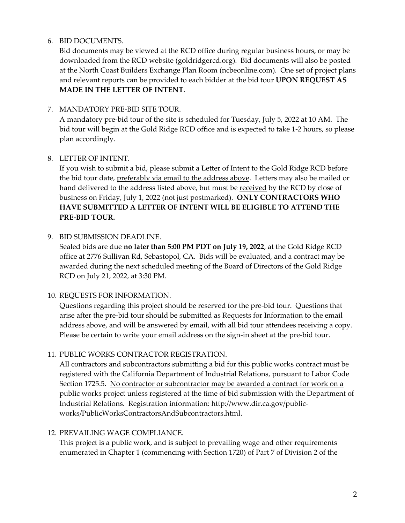#### 6. BID DOCUMENTS.

Bid documents may be viewed at the RCD office during regular business hours, or may be downloaded from the RCD website (goldridgercd.org). Bid documents will also be posted at the North Coast Builders Exchange Plan Room (ncbeonline.com). One set of project plans and relevant reports can be provided to each bidder at the bid tour **UPON REQUEST AS MADE IN THE LETTER OF INTENT**.

### 7. MANDATORY PRE-BID SITE TOUR.

A mandatory pre-bid tour of the site is scheduled for Tuesday, July 5, 2022 at 10 AM. The bid tour will begin at the Gold Ridge RCD office and is expected to take 1-2 hours, so please plan accordingly.

### 8. LETTER OF INTENT.

If you wish to submit a bid, please submit a Letter of Intent to the Gold Ridge RCD before the bid tour date, preferably via email to the address above. Letters may also be mailed or hand delivered to the address listed above, but must be received by the RCD by close of business on Friday, July 1, 2022 (not just postmarked). **ONLY CONTRACTORS WHO HAVE SUBMITTED A LETTER OF INTENT WILL BE ELIGIBLE TO ATTEND THE PRE-BID TOUR.** 

# 9. BID SUBMISSION DEADLINE.

Sealed bids are due **no later than 5:00 PM PDT on July 19, 2022**, at the Gold Ridge RCD office at 2776 Sullivan Rd, Sebastopol, CA. Bids will be evaluated, and a contract may be awarded during the next scheduled meeting of the Board of Directors of the Gold Ridge RCD on July 21, 2022, at 3:30 PM.

### 10. REQUESTS FOR INFORMATION.

Questions regarding this project should be reserved for the pre-bid tour. Questions that arise after the pre-bid tour should be submitted as Requests for Information to the email address above, and will be answered by email, with all bid tour attendees receiving a copy. Please be certain to write your email address on the sign-in sheet at the pre-bid tour.

### 11. PUBLIC WORKS CONTRACTOR REGISTRATION.

All contractors and subcontractors submitting a bid for this public works contract must be registered with the California Department of Industrial Relations, pursuant to Labor Code Section 1725.5. No contractor or subcontractor may be awarded a contract for work on a public works project unless registered at the time of bid submission with the Department of Industrial Relations. Registration information: http://www.dir.ca.gov/publicworks/PublicWorksContractorsAndSubcontractors.html.

### 12. PREVAILING WAGE COMPLIANCE.

This project is a public work, and is subject to prevailing wage and other requirements enumerated in Chapter 1 (commencing with Section 1720) of Part 7 of Division 2 of the